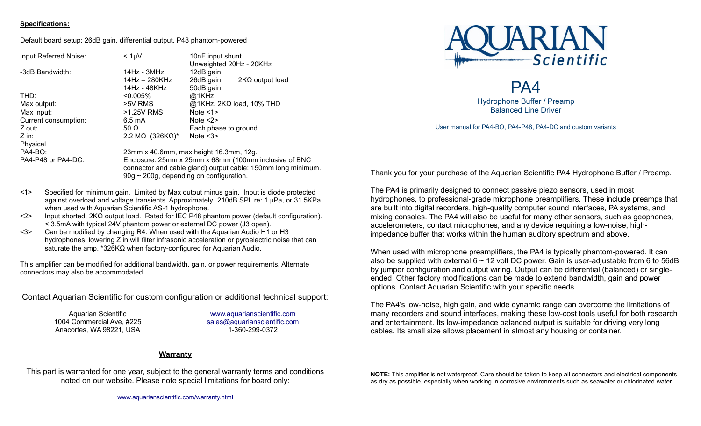### **Specifications:**

Default board setup: 26dB gain, differential output, P48 phantom-powered

| $< 1 \mu V$                                                                                                                                                            | 10nF input shunt<br>Unweighted 20Hz - 20KHz |
|------------------------------------------------------------------------------------------------------------------------------------------------------------------------|---------------------------------------------|
| 14Hz - 3MHz                                                                                                                                                            | 12dB gain                                   |
| $14$ Hz $-$ 280KHz                                                                                                                                                     | 26dB gain<br>$2K\Omega$ output load         |
| 14Hz - 48KHz                                                                                                                                                           | 50dB gain                                   |
| $< 0.005\%$                                                                                                                                                            | @1KHz                                       |
| >5V RMS                                                                                                                                                                | $@1KHz$ , 2K $\Omega$ load, 10% THD         |
| >1.25V RMS                                                                                                                                                             | Note $<1>$                                  |
| $6.5 \text{ mA}$                                                                                                                                                       | Note $<2>$                                  |
| 50 $\Omega$                                                                                                                                                            | Each phase to ground                        |
| 2.2 M $\Omega$ (326K $\Omega$ )*                                                                                                                                       | Note $<3>$                                  |
|                                                                                                                                                                        |                                             |
| 23mm x 40.6mm, max height 16.3mm, 12g.                                                                                                                                 |                                             |
| Enclosure: 25mm x 25mm x 68mm (100mm inclusive of BNC<br>connector and cable gland) output cable: 150mm long minimum.<br>$90g \sim 200g$ , depending on configuration. |                                             |
|                                                                                                                                                                        |                                             |



PA4 Hydrophone Buffer / Preamp Balanced Line Driver

User manual for PA4-BO, PA4-P48, PA4-DC and custom variants

<1> Specified for minimum gain. Limited by Max output minus gain. Input is diode protected against overload and voltage transients. Approximately 210dB SPL re: 1 µPa, or 31.5KPa when used with Aquarian Scientific AS-1 hydrophone.

- <2> Input shorted, 2KΩ output load. Rated for IEC P48 phantom power (default configuration). < 3.5mA with typical 24V phantom power or external DC power (J3 open).
- <3> Can be modified by changing R4. When used with the Aquarian Audio H1 or H3 hydrophones, lowering Z in will filter infrasonic acceleration or pyroelectric noise that can saturate the amp. \*326KΩ when factory-configured for Aquarian Audio.

This amplifier can be modified for additional bandwidth, gain, or power requirements. Alternate connectors may also be accommodated.

Contact Aquarian Scientific for custom configuration or additional technical support:

Aquarian Scientific 1004 Commercial Ave, #225 Anacortes, WA 98221, USA

[www.aquarianscientific.com](http://www.aquarianaudio.com/) [sales@aquarianscientific.com](mailto:sales@aquarianaudio.com) 1-360-299-0372

# **Warranty**

This part is warranted for one year, subject to the general warranty terms and conditions noted on our website. Please note special limitations for board only:

Thank you for your purchase of the Aquarian Scientific PA4 Hydrophone Buffer / Preamp.

The PA4 is primarily designed to connect passive piezo sensors, used in most hydrophones, to professional-grade microphone preamplifiers. These include preamps that are built into digital recorders, high-quality computer sound interfaces, PA systems, and mixing consoles. The PA4 will also be useful for many other sensors, such as geophones, accelerometers, contact microphones, and any device requiring a low-noise, highimpedance buffer that works within the human auditory spectrum and above.

When used with microphone preamplifiers, the PA4 is typically phantom-powered. It can also be supplied with external  $6 \sim 12$  volt DC power. Gain is user-adjustable from 6 to 56dB by jumper configuration and output wiring. Output can be differential (balanced) or singleended. Other factory modifications can be made to extend bandwidth, gain and power options. Contact Aquarian Scientific with your specific needs.

The PA4's low-noise, high gain, and wide dynamic range can overcome the limitations of many recorders and sound interfaces, making these low-cost tools useful for both research and entertainment. Its low-impedance balanced output is suitable for driving very long cables. Its small size allows placement in almost any housing or container.

**NOTE:** This amplifier is not waterproof. Care should be taken to keep all connectors and electrical components as dry as possible, especially when working in corrosive environments such as seawater or chlorinated water.